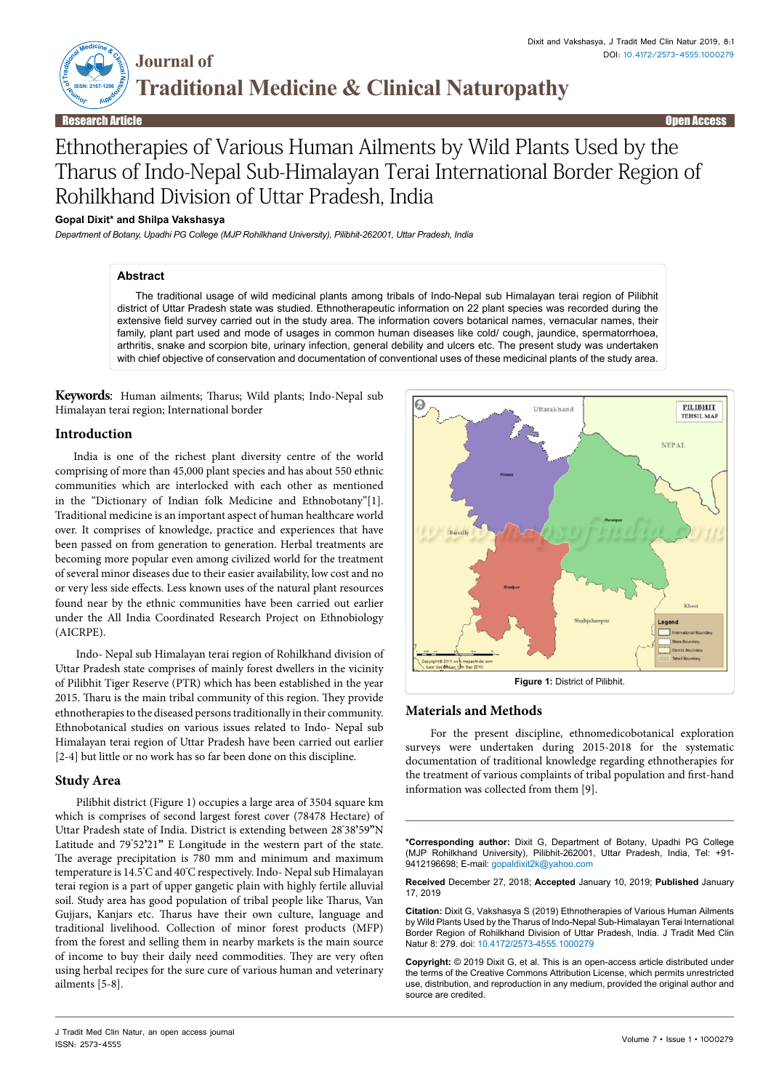

# Ethnotherapies of Various Human Ailments by Wild Plants Used by the Tharus of Indo-Nepal Sub-Himalayan Terai International Border Region of Rohilkhand Division of Uttar Pradesh, India

# **Gopal Dixit\* and Shilpa Vakshasya**

*Department of Botany, Upadhi PG College (MJP Rohilkhand University), Pilibhit-262001, Uttar Pradesh, India*

# **Abstract**

The traditional usage of wild medicinal plants among tribals of Indo-Nepal sub Himalayan terai region of Pilibhit district of Uttar Pradesh state was studied. Ethnotherapeutic information on 22 plant species was recorded during the extensive field survey carried out in the study area. The information covers botanical names, vernacular names, their family, plant part used and mode of usages in common human diseases like cold/ cough, jaundice, spermatorrhoea, arthritis, snake and scorpion bite, urinary infection, general debility and ulcers etc. The present study was undertaken with chief objective of conservation and documentation of conventional uses of these medicinal plants of the study area.

**Keywords**: Human ailments; Tharus; Wild plants; Indo-Nepal sub Himalayan terai region; International border

#### **Introduction**

India is one of the richest plant diversity centre of the world comprising of more than 45,000 plant species and has about 550 ethnic communities which are interlocked with each other as mentioned in the "Dictionary of Indian folk Medicine and Ethnobotany"[1]. Traditional medicine is an important aspect of human healthcare world over. It comprises of knowledge, practice and experiences that have been passed on from generation to generation. Herbal treatments are becoming more popular even among civilized world for the treatment of several minor diseases due to their easier availability, low cost and no or very less side effects. Less known uses of the natural plant resources found near by the ethnic communities have been carried out earlier under the All India Coordinated Research Project on Ethnobiology (AICRPE).

 Indo- Nepal sub Himalayan terai region of Rohilkhand division of Uttar Pradesh state comprises of mainly forest dwellers in the vicinity of Pilibhit Tiger Reserve (PTR) which has been established in the year 2015. Tharu is the main tribal community of this region. They provide ethnotherapies to the diseased persons traditionally in their community. Ethnobotanical studies on various issues related to Indo- Nepal sub Himalayan terai region of Uttar Pradesh have been carried out earlier [2-4] but little or no work has so far been done on this discipline.

## **Study Area**

 Pilibhit district (Figure 1) occupies a large area of 3504 square km which is comprises of second largest forest cover (78478 Hectare) of Uttar Pradesh state of India. District is extending between 28**°** 38**'**59**"**N Latitude and 79**°** 52**'**21**"** E Longitude in the western part of the state. The average precipitation is 780 mm and minimum and maximum temperature is 14.5**°** C and 40**°** C respectively. Indo- Nepal sub Himalayan terai region is a part of upper gangetic plain with highly fertile alluvial soil. Study area has good population of tribal people like Tharus, Van Gujjars, Kanjars etc. Tharus have their own culture, language and traditional livelihood. Collection of minor forest products (MFP) from the forest and selling them in nearby markets is the main source of income to buy their daily need commodities. They are very often using herbal recipes for the sure cure of various human and veterinary ailments [5-8].



# **Materials and Methods**

 For the present discipline, ethnomedicobotanical exploration surveys were undertaken during 2015-2018 for the systematic documentation of traditional knowledge regarding ethnotherapies for the treatment of various complaints of tribal population and first-hand information was collected from them [9].

**\*Corresponding author:** Dixit G, Department of Botany, Upadhi PG College (MJP Rohilkhand University), Pilibhit-262001, Uttar Pradesh, India, Tel: +91- 9412196698; E-mail: gopaldixit2k@yahoo.com

**Received** December 27, 2018; **Accepted** January 10, 2019; **Published** January 17, 2019

**Citation:** Dixit G, Vakshasya S (2019) Ethnotherapies of Various Human Ailments by Wild Plants Used by the Tharus of Indo-Nepal Sub-Himalayan Terai International Border Region of Rohilkhand Division of Uttar Pradesh, India. J Tradit Med Clin Natur 8: 279. doi: 10.4172/2573-4555.1000279

**Copyright:** © 2019 Dixit G, et al. This is an open-access article distributed under the terms of the Creative Commons Attribution License, which permits unrestricted use, distribution, and reproduction in any medium, provided the original author and source are credited.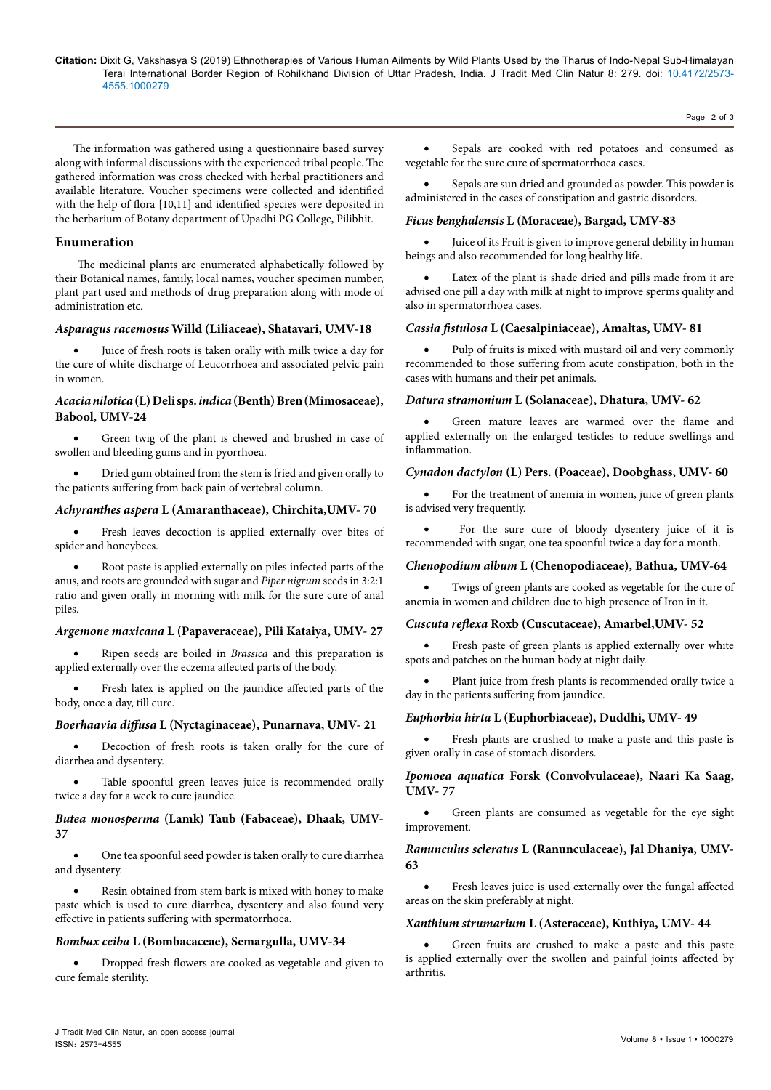#### **Citation:** Dixit G, Vakshasya S (2019) Ethnotherapies of Various Human Ailments by Wild Plants Used by the Tharus of Indo-Nepal Sub-Himalayan Terai International Border Region of Rohilkhand Division of Uttar Pradesh, India. J Tradit Med Clin Natur 8: 279. doi: 10.4172/2573- 4555.1000279

Page 2 of 3

The information was gathered using a questionnaire based survey along with informal discussions with the experienced tribal people. The gathered information was cross checked with herbal practitioners and available literature. Voucher specimens were collected and identified with the help of flora [10,11] and identified species were deposited in the herbarium of Botany department of Upadhi PG College, Pilibhit.

# **Enumeration**

 The medicinal plants are enumerated alphabetically followed by their Botanical names, family, local names, voucher specimen number, plant part used and methods of drug preparation along with mode of administration etc.

# *Asparagus racemosus* **Willd (Liliaceae), Shatavari, UMV-18**

Juice of fresh roots is taken orally with milk twice a day for the cure of white discharge of Leucorrhoea and associated pelvic pain in women.

# *Acacia nilotica* **(L) Deli sps.** *indica* **(Benth) Bren (Mimosaceae), Babool, UMV-24**

Green twig of the plant is chewed and brushed in case of swollen and bleeding gums and in pyorrhoea.

Dried gum obtained from the stem is fried and given orally to the patients suffering from back pain of vertebral column.

# *Achyranthes aspera* **L (Amaranthaceae), Chirchita,UMV- 70**

• Fresh leaves decoction is applied externally over bites of spider and honeybees.

Root paste is applied externally on piles infected parts of the anus, and roots are grounded with sugar and *Piper nigrum* seeds in 3:2:1 ratio and given orally in morning with milk for the sure cure of anal piles.

# *Argemone maxicana* **L (Papaveraceae), Pili Kataiya, UMV- 27**

Ripen seeds are boiled in *Brassica* and this preparation is applied externally over the eczema affected parts of the body.

Fresh latex is applied on the jaundice affected parts of the body, once a day, till cure.

## *Boerhaavia diffusa* **L (Nyctaginaceae), Punarnava, UMV- 21**

Decoction of fresh roots is taken orally for the cure of diarrhea and dysentery.

Table spoonful green leaves juice is recommended orally twice a day for a week to cure jaundice.

# *Butea monosperma* **(Lamk) Taub (Fabaceae), Dhaak, UMV-37**

One tea spoonful seed powder is taken orally to cure diarrhea and dysentery.

Resin obtained from stem bark is mixed with honey to make paste which is used to cure diarrhea, dysentery and also found very effective in patients suffering with spermatorrhoea.

# *Bombax ceiba* **L (Bombacaceae), Semargulla, UMV-34**

Dropped fresh flowers are cooked as vegetable and given to cure female sterility.

• Sepals are cooked with red potatoes and consumed as vegetable for the sure cure of spermatorrhoea cases.

Sepals are sun dried and grounded as powder. This powder is administered in the cases of constipation and gastric disorders.

# *Ficus benghalensis* **L (Moraceae), Bargad, UMV-83**

Juice of its Fruit is given to improve general debility in human beings and also recommended for long healthy life.

Latex of the plant is shade dried and pills made from it are advised one pill a day with milk at night to improve sperms quality and also in spermatorrhoea cases.

# *Cassia fistulosa* **L (Caesalpiniaceae), Amaltas, UMV- 81**

Pulp of fruits is mixed with mustard oil and very commonly recommended to those suffering from acute constipation, both in the cases with humans and their pet animals.

#### *Datura stramonium* **L (Solanaceae), Dhatura, UMV- 62**

Green mature leaves are warmed over the flame and applied externally on the enlarged testicles to reduce swellings and inflammation.

## *Cynadon dactylon* **(L) Pers. (Poaceae), Doobghass, UMV- 60**

For the treatment of anemia in women, juice of green plants is advised very frequently.

For the sure cure of bloody dysentery juice of it is recommended with sugar, one tea spoonful twice a day for a month.

## *Chenopodium album* **L (Chenopodiaceae), Bathua, UMV-64**

Twigs of green plants are cooked as vegetable for the cure of anemia in women and children due to high presence of Iron in it.

#### *Cuscuta reflexa* **Roxb (Cuscutaceae), Amarbel,UMV- 52**

Fresh paste of green plants is applied externally over white spots and patches on the human body at night daily.

Plant juice from fresh plants is recommended orally twice a day in the patients suffering from jaundice.

## *Euphorbia hirta* **L (Euphorbiaceae), Duddhi, UMV- 49**

Fresh plants are crushed to make a paste and this paste is given orally in case of stomach disorders.

*Ipomoea aquatica* **Forsk (Convolvulaceae), Naari Ka Saag, UMV- 77**

Green plants are consumed as vegetable for the eye sight improvement.

# *Ranunculus scleratus* **L (Ranunculaceae), Jal Dhaniya, UMV-63**

Fresh leaves juice is used externally over the fungal affected areas on the skin preferably at night.

#### *Xanthium strumarium* **L (Asteraceae), Kuthiya, UMV- 44**

Green fruits are crushed to make a paste and this paste is applied externally over the swollen and painful joints affected by arthritis.